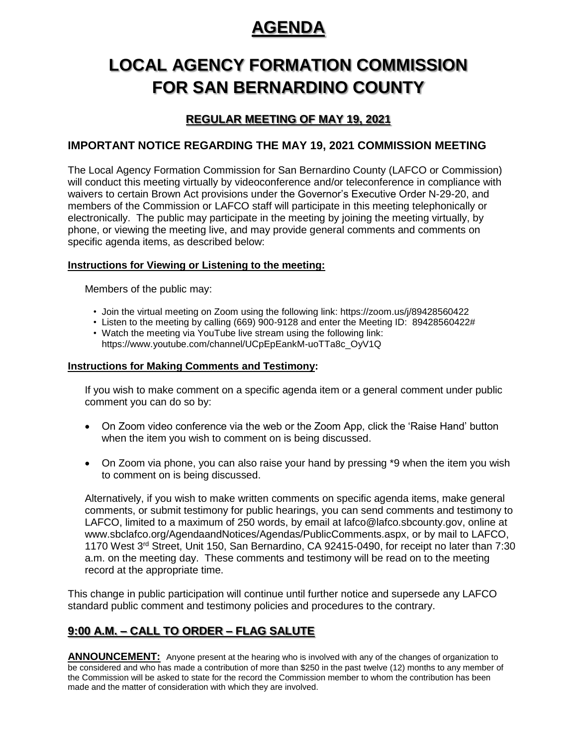## **AGENDA**

# **LOCAL AGENCY FORMATION COMMISSION FOR SAN BERNARDINO COUNTY**

## **REGULAR MEETING OF MAY 19, 2021**

### **IMPORTANT NOTICE REGARDING THE MAY 19, 2021 COMMISSION MEETING**

The Local Agency Formation Commission for San Bernardino County (LAFCO or Commission) will conduct this meeting virtually by videoconference and/or teleconference in compliance with waivers to certain Brown Act provisions under the Governor's Executive Order N-29-20, and members of the Commission or LAFCO staff will participate in this meeting telephonically or electronically. The public may participate in the meeting by joining the meeting virtually, by phone, or viewing the meeting live, and may provide general comments and comments on specific agenda items, as described below:

#### **Instructions for Viewing or Listening to the meeting:**

Members of the public may:

- Join the virtual meeting on Zoom using the following link: https://zoom.us/j/89428560422
- Listen to the meeting by calling (669) 900-9128 and enter the Meeting ID: 89428560422#
- Watch the meeting via YouTube live stream using the following link: https://www.youtube.com/channel/UCpEpEankM-uoTTa8c\_OyV1Q

#### **Instructions for Making Comments and Testimony:**

If you wish to make comment on a specific agenda item or a general comment under public comment you can do so by:

- On Zoom video conference via the web or the Zoom App, click the 'Raise Hand' button when the item you wish to comment on is being discussed.
- On Zoom via phone, you can also raise your hand by pressing \*9 when the item you wish to comment on is being discussed.

Alternatively, if you wish to make written comments on specific agenda items, make general comments, or submit testimony for public hearings, you can send comments and testimony to LAFCO, limited to a maximum of 250 words, by email at lafco@lafco.sbcounty.gov, online at www.sbclafco.org/AgendaandNotices/Agendas/PublicComments.aspx, or by mail to LAFCO, 1170 West 3rd Street, Unit 150, San Bernardino, CA 92415-0490, for receipt no later than 7:30 a.m. on the meeting day. These comments and testimony will be read on to the meeting record at the appropriate time.

This change in public participation will continue until further notice and supersede any LAFCO standard public comment and testimony policies and procedures to the contrary.

## **9:00 A.M. – CALL TO ORDER – FLAG SALUTE**

**ANNOUNCEMENT:** Anyone present at the hearing who is involved with any of the changes of organization to be considered and who has made a contribution of more than \$250 in the past twelve (12) months to any member of the Commission will be asked to state for the record the Commission member to whom the contribution has been made and the matter of consideration with which they are involved.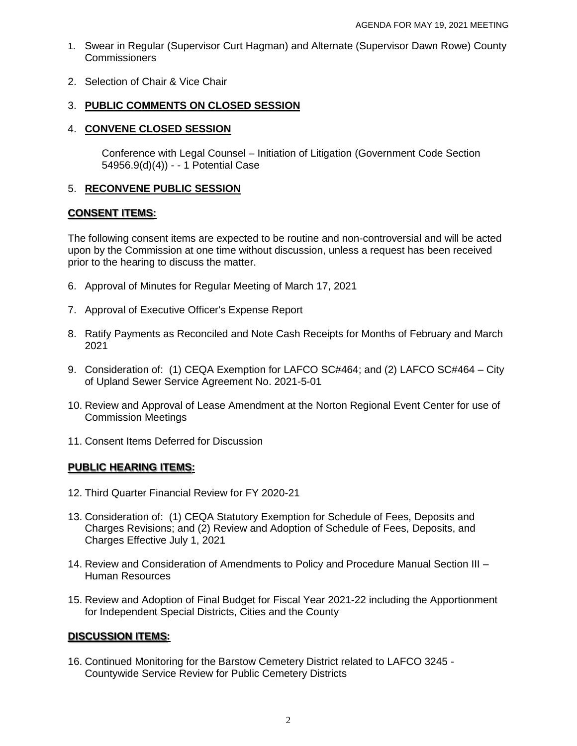- 1. Swear in Regular (Supervisor Curt Hagman) and Alternate (Supervisor Dawn Rowe) County **Commissioners**
- 2. Selection of Chair & Vice Chair

#### 3. **PUBLIC COMMENTS ON CLOSED SESSION**

#### 4. **CONVENE CLOSED SESSION**

Conference with Legal Counsel – Initiation of Litigation (Government Code Section 54956.9(d)(4)) - - 1 Potential Case

#### 5. **RECONVENE PUBLIC SESSION**

#### **CONSENT ITEMS:**

The following consent items are expected to be routine and non-controversial and will be acted upon by the Commission at one time without discussion, unless a request has been received prior to the hearing to discuss the matter.

- 6. Approval of Minutes for Regular Meeting of March 17, 2021
- 7. Approval of Executive Officer's Expense Report
- 8. Ratify Payments as Reconciled and Note Cash Receipts for Months of February and March 2021
- 9. Consideration of: (1) CEQA Exemption for LAFCO SC#464; and (2) LAFCO SC#464 City of Upland Sewer Service Agreement No. 2021-5-01
- 10. Review and Approval of Lease Amendment at the Norton Regional Event Center for use of Commission Meetings
- 11. Consent Items Deferred for Discussion

#### **PUBLIC HEARING ITEMS:**

- 12. Third Quarter Financial Review for FY 2020-21
- 13. Consideration of: (1) CEQA Statutory Exemption for Schedule of Fees, Deposits and Charges Revisions; and (2) Review and Adoption of Schedule of Fees, Deposits, and Charges Effective July 1, 2021
- 14. Review and Consideration of Amendments to Policy and Procedure Manual Section III Human Resources
- 15. Review and Adoption of Final Budget for Fiscal Year 2021-22 including the Apportionment for Independent Special Districts, Cities and the County

#### **DISCUSSION ITEMS:**

16. Continued Monitoring for the Barstow Cemetery District related to LAFCO 3245 - Countywide Service Review for Public Cemetery Districts